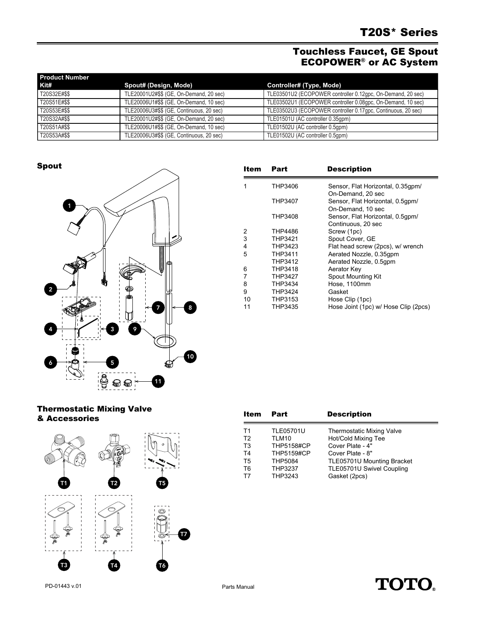# Touchless Faucet, GE Spout ECOPOWER® or AC System

| <b>Product Number</b> |                                          |                                                              |
|-----------------------|------------------------------------------|--------------------------------------------------------------|
| Kit#                  | Spout# (Design, Mode)                    | Controller# (Type, Mode)                                     |
| T20S32E#\$\$          | TLE20001U2#\$\$ (GE, On-Demand, 20 sec)  | TLE03501U2 (ECOPOWER controller 0.12gpc, On-Demand, 20 sec)  |
| T20S51E#\$\$          | TLE20006U1#\$\$ (GE, On-Demand, 10 sec)  | TLE03502U1 (ECOPOWER controller 0.08gpc, On-Demand, 10 sec)  |
| T20S53E#\$\$          | TLE20006U3#\$\$ (GE, Continuous, 20 sec) | TLE03502U3 (ECOPOWER controller 0.17gpc, Continuous, 20 sec) |
| T20S32A#\$\$          | TLE20001U2#\$\$ (GE, On-Demand, 20 sec)  | TLE01501U (AC controller 0.35qpm)                            |
| T20S51A#\$\$          | TLE20006U1#\$\$ (GE, On-Demand, 10 sec)  | TLE01502U (AC controller 0.5qpm)                             |
| T20S53A#\$\$          | TLE20006U3#\$\$ (GE, Continuous, 20 sec) | TLE01502U (AC controller 0.5qpm)                             |

Spout



| Item | Part           | <b>Description</b>                   |
|------|----------------|--------------------------------------|
| 1    | THP3406        | Sensor, Flat Horizontal, 0.35gpm/    |
|      |                | On-Demand, 20 sec                    |
|      | THP3407        | Sensor, Flat Horizontal, 0.5qpm/     |
|      |                | On-Demand, 10 sec                    |
|      | THP3408        | Sensor, Flat Horizontal, 0.5gpm/     |
|      |                | Continuous, 20 sec                   |
| 2    | THP4486        | Screw (1pc)                          |
| 3    | THP3421        | Spout Cover, GE                      |
| 4    | THP3423        | Flat head screw (2pcs), w/ wrench    |
| 5    | THP3411        | Aerated Nozzle, 0.35qpm              |
|      | THP3412        | Aerated Nozzle, 0.5qpm               |
| 6    | THP3418        | Aerator Key                          |
| 7    | <b>THP3427</b> | <b>Spout Mounting Kit</b>            |
| 8    | THP3434        | Hose, 1100mm                         |
| 9    | <b>THP3424</b> | Gasket                               |
| 10   | THP3153        | Hose Clip (1pc)                      |
| 11   | THP3435        | Hose Joint (1pc) w/ Hose Clip (2pcs) |

### Thermostatic Mixing Valve & Accessories



| Item           | Part              | <b>Description</b>               |
|----------------|-------------------|----------------------------------|
| T1             | <b>TLE05701U</b>  | <b>Thermostatic Mixing Valve</b> |
| T <sub>2</sub> | TLM10             | Hot/Cold Mixing Tee              |
| T <sub>3</sub> | <b>THP5158#CP</b> | Cover Plate - 4"                 |
| T4             | <b>THP5159#CP</b> | Cover Plate - 8"                 |
| T <sub>5</sub> | <b>THP5084</b>    | TLE05701U Mounting Bracket       |
| T <sub>6</sub> | <b>THP3237</b>    | TLE05701U Swivel Coupling        |
| T7             | THP3243           | Gasket (2pcs)                    |